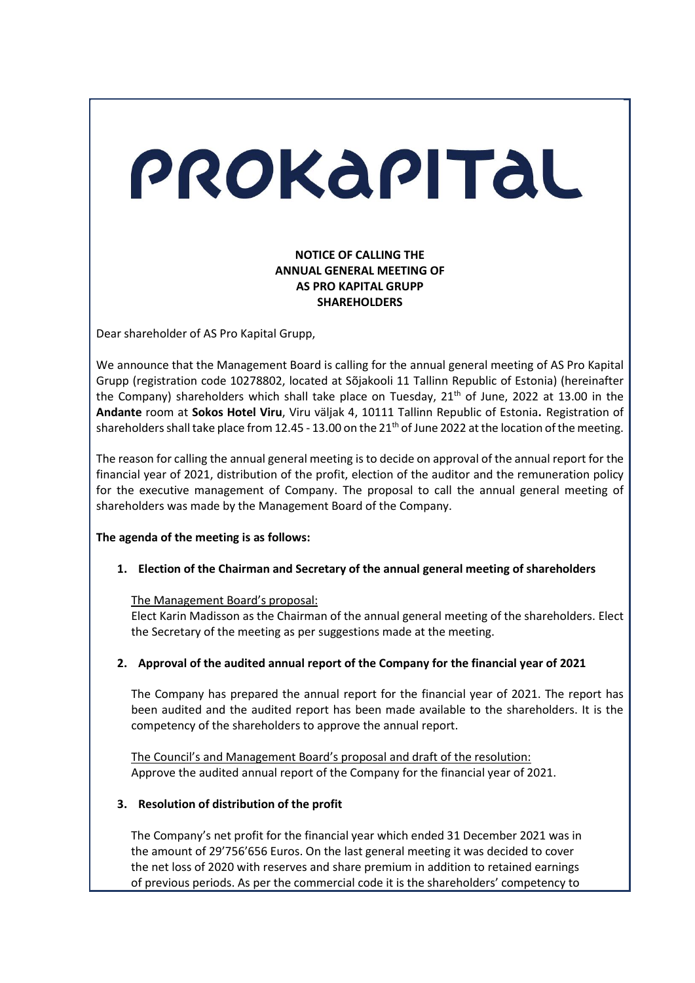# PROKAPITAL

# **NOTICE OF CALLING THE ANNUAL GENERAL MEETING OF AS PRO KAPITAL GRUPP SHAREHOLDERS**

Dear shareholder of AS Pro Kapital Grupp,

We announce that the Management Board is calling for the annual general meeting of AS Pro Kapital Grupp (registration code 10278802, located at Sõjakooli 11 Tallinn Republic of Estonia) (hereinafter the Company) shareholders which shall take place on Tuesday, 21<sup>th</sup> of June, 2022 at 13.00 in the **Andante** room at **Sokos Hotel Viru**, Viru väljak 4, 10111 Tallinn Republic of Estonia**.** Registration of shareholders shall take place from 12.45 - 13.00 on the 21<sup>th</sup> of June 2022 at the location of the meeting.

The reason for calling the annual general meeting is to decide on approval of the annual report for the financial year of 2021, distribution of the profit, election of the auditor and the remuneration policy for the executive management of Company. The proposal to call the annual general meeting of shareholders was made by the Management Board of the Company.

# **The agenda of the meeting is as follows:**

**1. Election of the Chairman and Secretary of the annual general meeting of shareholders** 

# The Management Board's proposal:

Elect Karin Madisson as the Chairman of the annual general meeting of the shareholders. Elect the Secretary of the meeting as per suggestions made at the meeting.

# **2. Approval of the audited annual report of the Company for the financial year of 2021**

The Company has prepared the annual report for the financial year of 2021. The report has been audited and the audited report has been made available to the shareholders. It is the competency of the shareholders to approve the annual report.

The Council's and Management Board's proposal and draft of the resolution: Approve the audited annual report of the Company for the financial year of 2021.

# **3. Resolution of distribution of the profit**

 The Company's net profit for the financial year which ended 31 December 2021 was in the amount of 29'756'656 Euros. On the last general meeting it was decided to cover the net loss of 2020 with reserves and share premium in addition to retained earnings of previous periods. As per the commercial code it is the shareholders' competency to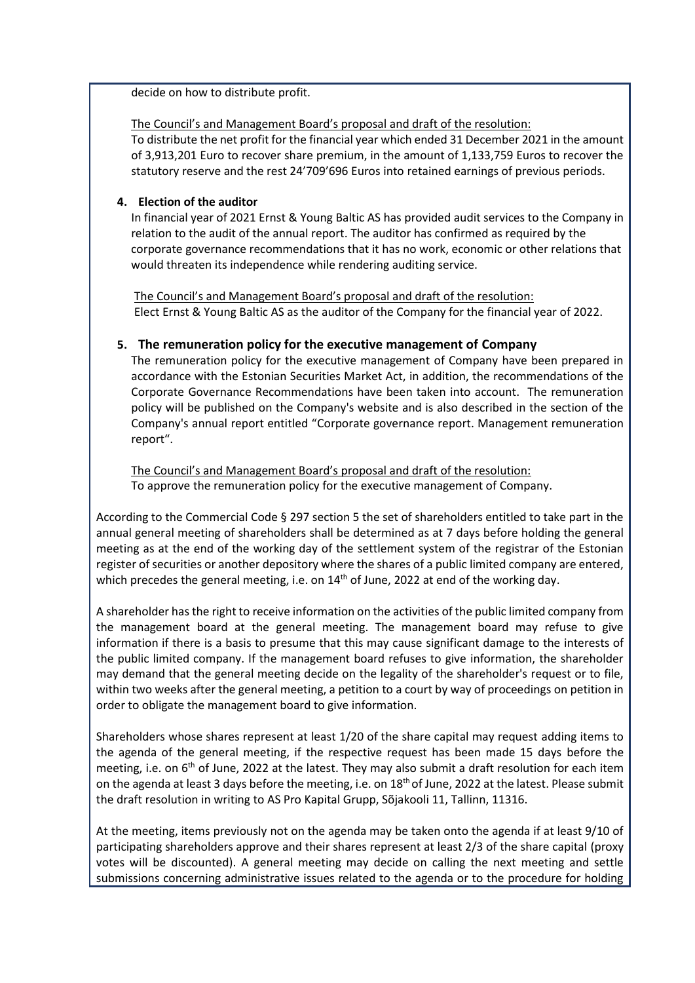decide on how to distribute profit.

# The Council's and Management Board's proposal and draft of the resolution:

To distribute the net profit for the financial year which ended 31 December 2021 in the amount of 3,913,201 Euro to recover share premium, in the amount of 1,133,759 Euros to recover the statutory reserve and the rest 24'709'696 Euros into retained earnings of previous periods.

# **4. Election of the auditor**

 In financial year of 2021 Ernst & Young Baltic AS has provided audit services to the Company in relation to the audit of the annual report. The auditor has confirmed as required by the corporate governance recommendations that it has no work, economic or other relations that would threaten its independence while rendering auditing service.

The Council's and Management Board's proposal and draft of the resolution: Elect Ernst & Young Baltic AS as the auditor of the Company for the financial year of 2022.

# **5. The remuneration policy for the executive management of Company**

The remuneration policy for the executive management of Company have been prepared in accordance with the Estonian Securities Market Act, in addition, the recommendations of the Corporate Governance Recommendations have been taken into account. The remuneration policy will be published on the Company's website and is also described in the section of the Company's annual report entitled "Corporate governance report. Management remuneration report".

The Council's and Management Board's proposal and draft of the resolution: To approve the remuneration policy for the executive management of Company.

According to the Commercial Code § 297 section 5 the set of shareholders entitled to take part in the annual general meeting of shareholders shall be determined as at 7 days before holding the general meeting as at the end of the working day of the settlement system of the registrar of the Estonian register of securities or another depository where the shares of a public limited company are entered, which precedes the general meeting, i.e. on 14<sup>th</sup> of June, 2022 at end of the working day.

A shareholder has the right to receive information on the activities of the public limited company from the management board at the general meeting. The management board may refuse to give information if there is a basis to presume that this may cause significant damage to the interests of the public limited company. If the management board refuses to give information, the shareholder may demand that the general meeting decide on the legality of the shareholder's request or to file, within two weeks after the general meeting, a petition to a court by way of proceedings on petition in order to obligate the management board to give information.

Shareholders whose shares represent at least 1/20 of the share capital may request adding items to the agenda of the general meeting, if the respective request has been made 15 days before the meeting, i.e. on 6<sup>th</sup> of June, 2022 at the latest. They may also submit a draft resolution for each item on the agenda at least 3 days before the meeting, i.e. on 18<sup>th</sup> of June, 2022 at the latest. Please submit the draft resolution in writing to AS Pro Kapital Grupp, Sõjakooli 11, Tallinn, 11316.

At the meeting, items previously not on the agenda may be taken onto the agenda if at least 9/10 of participating shareholders approve and their shares represent at least 2/3 of the share capital (proxy votes will be discounted). A general meeting may decide on calling the next meeting and settle submissions concerning administrative issues related to the agenda or to the procedure for holding